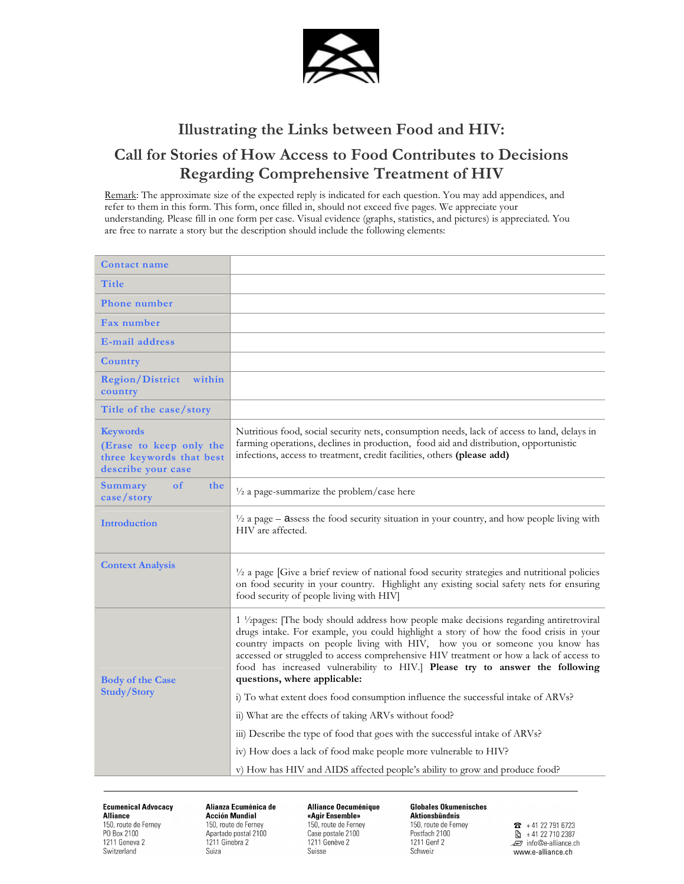

## Illustrating the Links between Food and HIV: Call for Stories of How Access to Food Contributes to Decisions Regarding Comprehensive Treatment of HIV

Remark: The approximate size of the expected reply is indicated for each question. You may add appendices, and refer to them in this form. This form, once filled in, should not exceed five pages. We appreciate your understanding. Please fill in one form per case. Visual evidence (graphs, statistics, and pictures) is appreciated. You are free to narrate a story but the description should include the following elements:

| <b>Contact name</b>                                                                          |                                                                                                                                                                                                                                                                                                                                                                                                                                                                                      |
|----------------------------------------------------------------------------------------------|--------------------------------------------------------------------------------------------------------------------------------------------------------------------------------------------------------------------------------------------------------------------------------------------------------------------------------------------------------------------------------------------------------------------------------------------------------------------------------------|
| Title                                                                                        |                                                                                                                                                                                                                                                                                                                                                                                                                                                                                      |
| <b>Phone number</b>                                                                          |                                                                                                                                                                                                                                                                                                                                                                                                                                                                                      |
| Fax number                                                                                   |                                                                                                                                                                                                                                                                                                                                                                                                                                                                                      |
| <b>E-mail address</b>                                                                        |                                                                                                                                                                                                                                                                                                                                                                                                                                                                                      |
| Country                                                                                      |                                                                                                                                                                                                                                                                                                                                                                                                                                                                                      |
| <b>Region/District</b><br>within<br>country                                                  |                                                                                                                                                                                                                                                                                                                                                                                                                                                                                      |
| Title of the case/story                                                                      |                                                                                                                                                                                                                                                                                                                                                                                                                                                                                      |
| <b>Keywords</b><br>(Erase to keep only the<br>three keywords that best<br>describe your case | Nutritious food, social security nets, consumption needs, lack of access to land, delays in<br>farming operations, declines in production, food aid and distribution, opportunistic<br>infections, access to treatment, credit facilities, others (please add)                                                                                                                                                                                                                       |
| the<br>of<br><b>Summary</b><br>case/story                                                    | $\frac{1}{2}$ a page-summarize the problem/case here                                                                                                                                                                                                                                                                                                                                                                                                                                 |
| Introduction                                                                                 | $\frac{1}{2}$ a page – assess the food security situation in your country, and how people living with<br>HIV are affected.                                                                                                                                                                                                                                                                                                                                                           |
| <b>Context Analysis</b>                                                                      | 1/2 a page [Give a brief review of national food security strategies and nutritional policies<br>on food security in your country. Highlight any existing social safety nets for ensuring<br>food security of people living with HIV]                                                                                                                                                                                                                                                |
| <b>Body of the Case</b><br><b>Study/Story</b>                                                | 1 <sup>1</sup> /2pages: [The body should address how people make decisions regarding antiretroviral<br>drugs intake. For example, you could highlight a story of how the food crisis in your<br>country impacts on people living with HIV, how you or someone you know has<br>accessed or struggled to access comprehensive HIV treatment or how a lack of access to<br>food has increased vulnerability to HIV.] Please try to answer the following<br>questions, where applicable: |
|                                                                                              | i) To what extent does food consumption influence the successful intake of ARVs?                                                                                                                                                                                                                                                                                                                                                                                                     |
|                                                                                              | ii) What are the effects of taking ARVs without food?                                                                                                                                                                                                                                                                                                                                                                                                                                |
|                                                                                              | iii) Describe the type of food that goes with the successful intake of ARVs?                                                                                                                                                                                                                                                                                                                                                                                                         |
|                                                                                              | iv) How does a lack of food make people more vulnerable to HIV?                                                                                                                                                                                                                                                                                                                                                                                                                      |
|                                                                                              | v) How has HIV and AIDS affected people's ability to grow and produce food?                                                                                                                                                                                                                                                                                                                                                                                                          |

**Ecumenical Advocacy Alliance** 150, route de Ferney PO Box 2100 1211 Geneva 2 Switzerland

Alianza Ecuménica de **Acción Mundial** 150, route de Ferney Apartado postal 2100 1211 Ginebra 2 Suiza

Alliance Oecuménique «Agir Ensemble» 150, route de Ferney Case postale 2100 1211 Genève 2 Suisse

**Globales Ökumenisches** Aktionsbündnis 150, route de Ferney Postfach 2100 1211 Genf 2 Schweiz

 $\bullet$  +41 22 791 6723  $\frac{1}{2}$  + 41 22 710 2387 Finfo@e-alliance.ch www.e-alliance.ch